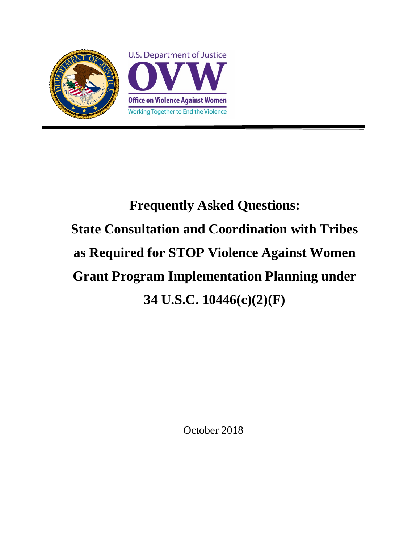

# **Frequently Asked Questions: State Consultation and Coordination with Tribes as Required for STOP Violence Against Women Grant Program Implementation Planning under 34 U.S.C. 10446(c)(2)(F)**

October 2018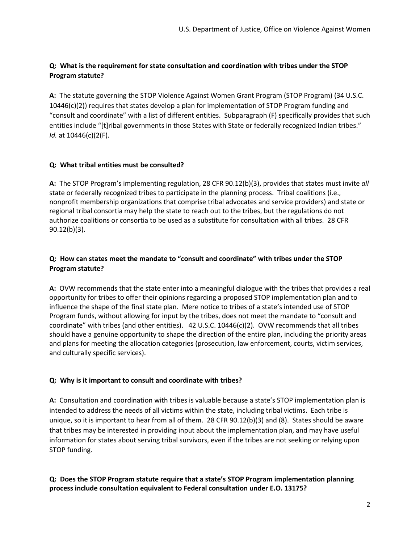# **Q: What is the requirement for state consultation and coordination with tribes under the STOP Program statute?**

**A:** The statute governing the STOP Violence Against Women Grant Program (STOP Program) (34 U.S.C. 10446(c)(2)) requires that states develop a plan for implementation of STOP Program funding and "consult and coordinate" with a list of different entities. Subparagraph (F) specifically provides that such entities include "[t]ribal governments in those States with State or federally recognized Indian tribes." *Id.* at 10446(c)(2(F).

## **Q: What tribal entities must be consulted?**

**A:** The STOP Program's implementing regulation, 28 CFR 90.12(b)(3), provides that states must invite *all* state or federally recognized tribes to participate in the planning process. Tribal coalitions (i.e., nonprofit membership organizations that comprise tribal advocates and service providers) and state or regional tribal consortia may help the state to reach out to the tribes, but the regulations do not authorize coalitions or consortia to be used as a substitute for consultation with all tribes. 28 CFR 90.12(b)(3).

## **Q: How can states meet the mandate to "consult and coordinate" with tribes under the STOP Program statute?**

**A:** OVW recommends that the state enter into a meaningful dialogue with the tribes that provides a real opportunity for tribes to offer their opinions regarding a proposed STOP implementation plan and to influence the shape of the final state plan. Mere notice to tribes of a state's intended use of STOP Program funds, without allowing for input by the tribes, does not meet the mandate to "consult and coordinate" with tribes (and other entities). 42 U.S.C. 10446(c)(2). OVW recommends that all tribes should have a genuine opportunity to shape the direction of the entire plan, including the priority areas and plans for meeting the allocation categories (prosecution, law enforcement, courts, victim services, and culturally specific services).

## **Q: Why is it important to consult and coordinate with tribes?**

**A:** Consultation and coordination with tribes is valuable because a state's STOP implementation plan is intended to address the needs of all victims within the state, including tribal victims. Each tribe is unique, so it is important to hear from all of them. 28 CFR 90.12(b)(3) and (8). States should be aware that tribes may be interested in providing input about the implementation plan, and may have useful information for states about serving tribal survivors, even if the tribes are not seeking or relying upon STOP funding.

## **Q: Does the STOP Program statute require that a state's STOP Program implementation planning process include consultation equivalent to Federal consultation under E.O. 13175?**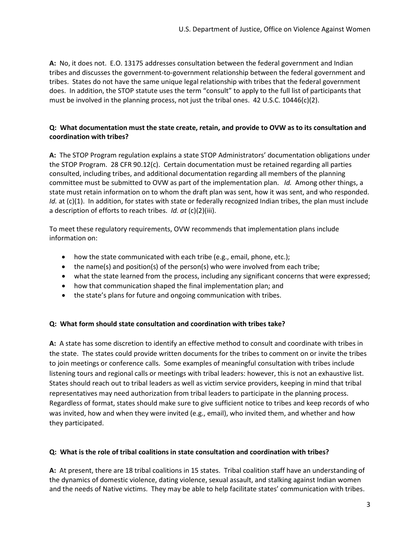**A:** No, it does not. E.O. 13175 addresses consultation between the federal government and Indian tribes and discusses the government-to-government relationship between the federal government and tribes. States do not have the same unique legal relationship with tribes that the federal government does. In addition, the STOP statute uses the term "consult" to apply to the full list of participants that must be involved in the planning process, not just the tribal ones. 42 U.S.C. 10446(c)(2).

### **Q: What documentation must the state create, retain, and provide to OVW as to its consultation and coordination with tribes?**

**A:** The STOP Program regulation explains a state STOP Administrators' documentation obligations under the STOP Program. 28 CFR 90.12(c). Certain documentation must be retained regarding all parties consulted, including tribes, and additional documentation regarding all members of the planning committee must be submitted to OVW as part of the implementation plan. *Id.* Among other things, a state must retain information on to whom the draft plan was sent, how it was sent, and who responded. *Id.* at (c)(1). In addition, for states with state or federally recognized Indian tribes, the plan must include a description of efforts to reach tribes. *Id. at* (c)(2)(iii).

To meet these regulatory requirements, OVW recommends that implementation plans include information on:

- how the state communicated with each tribe (e.g., email, phone, etc.);
- the name(s) and position(s) of the person(s) who were involved from each tribe;
- what the state learned from the process, including any significant concerns that were expressed;
- how that communication shaped the final implementation plan; and
- the state's plans for future and ongoing communication with tribes.

#### **Q: What form should state consultation and coordination with tribes take?**

**A:** A state has some discretion to identify an effective method to consult and coordinate with tribes in the state. The states could provide written documents for the tribes to comment on or invite the tribes to join meetings or conference calls. Some examples of meaningful consultation with tribes include listening tours and regional calls or meetings with tribal leaders: however, this is not an exhaustive list. States should reach out to tribal leaders as well as victim service providers, keeping in mind that tribal representatives may need authorization from tribal leaders to participate in the planning process. Regardless of format, states should make sure to give sufficient notice to tribes and keep records of who was invited, how and when they were invited (e.g., email), who invited them, and whether and how they participated.

#### **Q: What is the role of tribal coalitions in state consultation and coordination with tribes?**

**A:** At present, there are 18 tribal coalitions in 15 states. Tribal coalition staff have an understanding of the dynamics of domestic violence, dating violence, sexual assault, and stalking against Indian women and the needs of Native victims. They may be able to help facilitate states' communication with tribes.